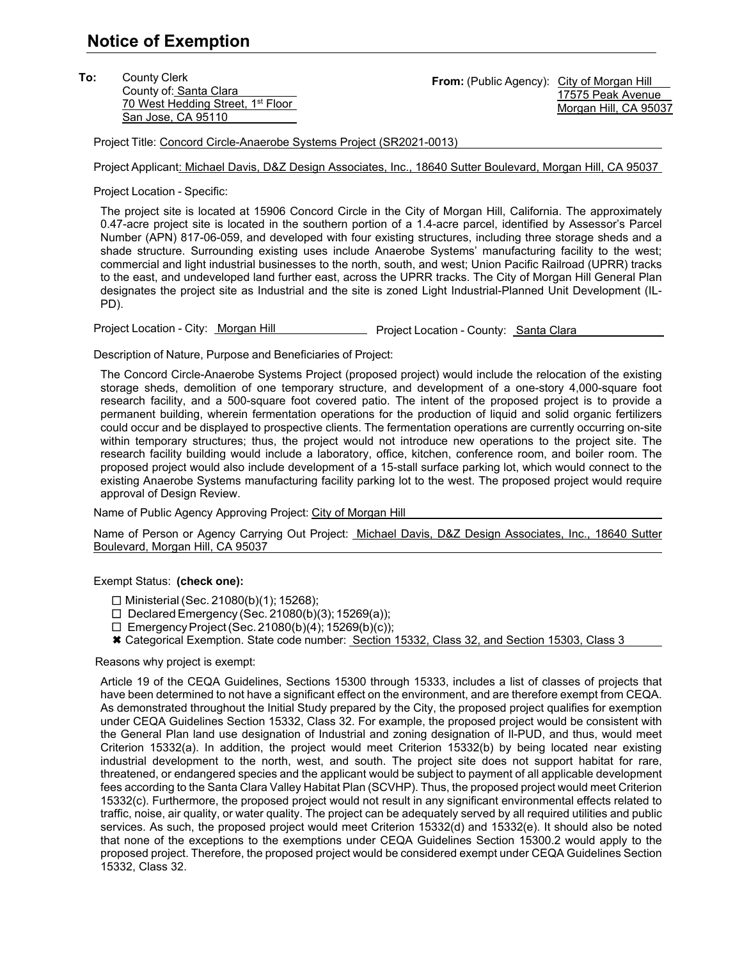**To:** County Clerk County of: Santa Clara 70 West Hedding Street, 1<sup>st</sup> Floor San Jose, CA 95110

From: (Public Agency): City of Morgan Hill 17575 Peak Avenue Morgan Hill, CA 95037

Project Title: Concord Circle-Anaerobe Systems Project (SR2021-0013)

Project Applicant: Michael Davis, D&Z Design Associates, Inc., 18640 Sutter Boulevard, Morgan Hill, CA 95037

Project Location - Specific:

The project site is located at 15906 Concord Circle in the City of Morgan Hill, California. The approximately 0.47-acre project site is located in the southern portion of a 1.4-acre parcel, identified by Assessor's Parcel Number (APN) 817-06-059, and developed with four existing structures, including three storage sheds and a shade structure. Surrounding existing uses include Anaerobe Systems' manufacturing facility to the west; commercial and light industrial businesses to the north, south, and west; Union Pacific Railroad (UPRR) tracks to the east, and undeveloped land further east, across the UPRR tracks. The City of Morgan Hill General Plan designates the project site as Industrial and the site is zoned Light Industrial-Planned Unit Development (IL-PD).

Project Location - City: Morgan Hill Project Location - County: Santa Clara

Description of Nature, Purpose and Beneficiaries of Project:

The Concord Circle-Anaerobe Systems Project (proposed project) would include the relocation of the existing storage sheds, demolition of one temporary structure, and development of a one-story 4,000-square foot research facility, and a 500-square foot covered patio. The intent of the proposed project is to provide a permanent building, wherein fermentation operations for the production of liquid and solid organic fertilizers could occur and be displayed to prospective clients. The fermentation operations are currently occurring on-site within temporary structures; thus, the project would not introduce new operations to the project site. The research facility building would include a laboratory, office, kitchen, conference room, and boiler room. The proposed project would also include development of a 15-stall surface parking lot, which would connect to the existing Anaerobe Systems manufacturing facility parking lot to the west. The proposed project would require approval of Design Review.

Name of Public Agency Approving Project: City of Morgan Hill

Name of Person or Agency Carrying Out Project: Michael Davis, D&Z Design Associates, Inc., 18640 Sutter Boulevard, Morgan Hill, CA 95037

Exempt Status: **(check one):**

Ministerial (Sec. 21080(b)(1); 15268);

 $\Box$  Declared Emergency (Sec. 21080(b)(3); 15269(a));

- $\square$  Emergency Project (Sec. 21080(b)(4); 15269(b)(c));
- \* Categorical Exemption. State code number: Section 15332, Class 32, and Section 15303, Class 3

Reasons why project is exempt:

Article 19 of the CEQA Guidelines, Sections 15300 through 15333, includes a list of classes of projects that have been determined to not have a significant effect on the environment, and are therefore exempt from CEQA. As demonstrated throughout the Initial Study prepared by the City, the proposed project qualifies for exemption under CEQA Guidelines Section 15332, Class 32. For example, the proposed project would be consistent with the General Plan land use designation of Industrial and zoning designation of Il-PUD, and thus, would meet Criterion 15332(a). In addition, the project would meet Criterion 15332(b) by being located near existing industrial development to the north, west, and south. The project site does not support habitat for rare, threatened, or endangered species and the applicant would be subject to payment of all applicable development fees according to the Santa Clara Valley Habitat Plan (SCVHP). Thus, the proposed project would meet Criterion 15332(c). Furthermore, the proposed project would not result in any significant environmental effects related to traffic, noise, air quality, or water quality. The project can be adequately served by all required utilities and public services. As such, the proposed project would meet Criterion 15332(d) and 15332(e). It should also be noted that none of the exceptions to the exemptions under CEQA Guidelines Section 15300.2 would apply to the proposed project. Therefore, the proposed project would be considered exempt under CEQA Guidelines Section 15332, Class 32.